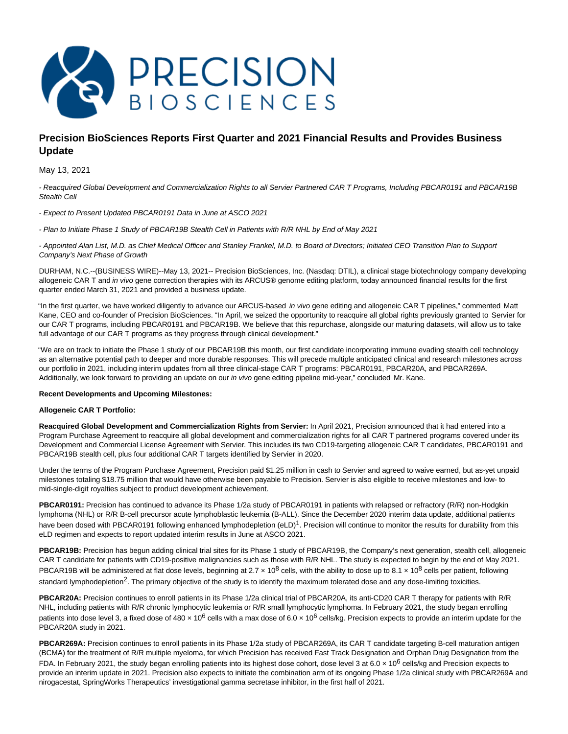

# **Precision BioSciences Reports First Quarter and 2021 Financial Results and Provides Business Update**

# May 13, 2021

- Reacquired Global Development and Commercialization Rights to all Servier Partnered CAR T Programs, Including PBCAR0191 and PBCAR19B Stealth Cell

- Expect to Present Updated PBCAR0191 Data in June at ASCO 2021

- Plan to Initiate Phase 1 Study of PBCAR19B Stealth Cell in Patients with R/R NHL by End of May 2021

- Appointed Alan List, M.D. as Chief Medical Officer and Stanley Frankel, M.D. to Board of Directors; Initiated CEO Transition Plan to Support Company's Next Phase of Growth

DURHAM, N.C.--(BUSINESS WIRE)--May 13, 2021-- Precision BioSciences, Inc. (Nasdaq: DTIL), a clinical stage biotechnology company developing allogeneic CAR T and in vivo gene correction therapies with its ARCUS® genome editing platform, today announced financial results for the first quarter ended March 31, 2021 and provided a business update.

"In the first quarter, we have worked diligently to advance our ARCUS-based in vivo gene editing and allogeneic CAR T pipelines," commented Matt Kane, CEO and co-founder of Precision BioSciences. "In April, we seized the opportunity to reacquire all global rights previously granted to Servier for our CAR T programs, including PBCAR0191 and PBCAR19B. We believe that this repurchase, alongside our maturing datasets, will allow us to take full advantage of our CAR T programs as they progress through clinical development."

"We are on track to initiate the Phase 1 study of our PBCAR19B this month, our first candidate incorporating immune evading stealth cell technology as an alternative potential path to deeper and more durable responses. This will precede multiple anticipated clinical and research milestones across our portfolio in 2021, including interim updates from all three clinical-stage CAR T programs: PBCAR0191, PBCAR20A, and PBCAR269A. Additionally, we look forward to providing an update on our in vivo gene editing pipeline mid-year," concluded Mr. Kane.

# **Recent Developments and Upcoming Milestones:**

# **Allogeneic CAR T Portfolio:**

**Reacquired Global Development and Commercialization Rights from Servier:** In April 2021, Precision announced that it had entered into a Program Purchase Agreement to reacquire all global development and commercialization rights for all CAR T partnered programs covered under its Development and Commercial License Agreement with Servier. This includes its two CD19-targeting allogeneic CAR T candidates, PBCAR0191 and PBCAR19B stealth cell, plus four additional CAR T targets identified by Servier in 2020.

Under the terms of the Program Purchase Agreement, Precision paid \$1.25 million in cash to Servier and agreed to waive earned, but as-yet unpaid milestones totaling \$18.75 million that would have otherwise been payable to Precision. Servier is also eligible to receive milestones and low- to mid-single-digit royalties subject to product development achievement.

PBCAR0191: Precision has continued to advance its Phase 1/2a study of PBCAR0191 in patients with relapsed or refractory (R/R) non-Hodgkin lymphoma (NHL) or R/R B-cell precursor acute lymphoblastic leukemia (B-ALL). Since the December 2020 interim data update, additional patients have been dosed with PBCAR0191 following enhanced lymphodepletion (eLD)<sup>1</sup>. Precision will continue to monitor the results for durability from this eLD regimen and expects to report updated interim results in June at ASCO 2021.

**PBCAR19B:** Precision has begun adding clinical trial sites for its Phase 1 study of PBCAR19B, the Company's next generation, stealth cell, allogeneic CAR T candidate for patients with CD19-positive malignancies such as those with R/R NHL. The study is expected to begin by the end of May 2021. PBCAR19B will be administered at flat dose levels, beginning at  $2.7 \times 10^8$  cells, with the ability to dose up to 8.1  $\times$  10<sup>8</sup> cells per patient, following standard lymphodepletion<sup>2</sup>. The primary objective of the study is to identify the maximum tolerated dose and any dose-limiting toxicities.

**PBCAR20A:** Precision continues to enroll patients in its Phase 1/2a clinical trial of PBCAR20A, its anti-CD20 CAR T therapy for patients with R/R NHL, including patients with R/R chronic lymphocytic leukemia or R/R small lymphocytic lymphoma. In February 2021, the study began enrolling patients into dose level 3, a fixed dose of 480  $\times$  10<sup>6</sup> cells with a max dose of 6.0  $\times$  10<sup>6</sup> cells/kg. Precision expects to provide an interim update for the PBCAR20A study in 2021.

**PBCAR269A:** Precision continues to enroll patients in its Phase 1/2a study of PBCAR269A, its CAR T candidate targeting B-cell maturation antigen (BCMA) for the treatment of R/R multiple myeloma, for which Precision has received Fast Track Designation and Orphan Drug Designation from the FDA. In February 2021, the study began enrolling patients into its highest dose cohort, dose level 3 at 6.0 x 10<sup>6</sup> cells/kg and Precision expects to provide an interim update in 2021. Precision also expects to initiate the combination arm of its ongoing Phase 1/2a clinical study with PBCAR269A and nirogacestat, SpringWorks Therapeutics' investigational gamma secretase inhibitor, in the first half of 2021.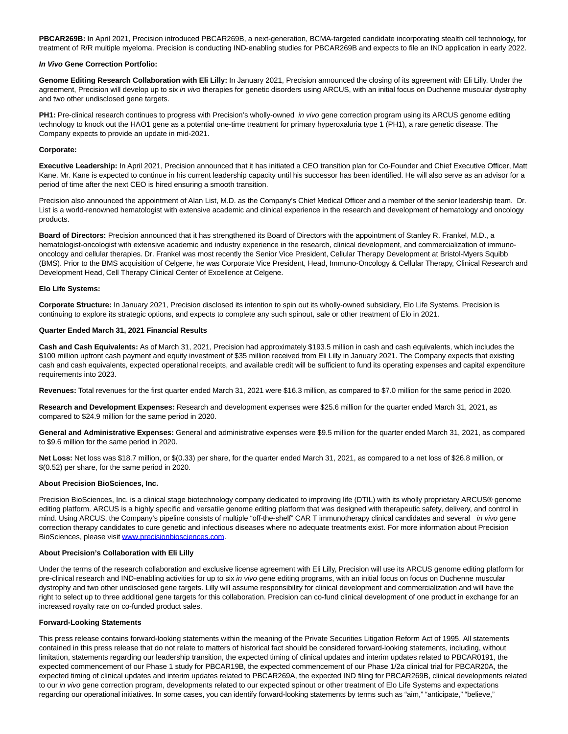**PBCAR269B:** In April 2021, Precision introduced PBCAR269B, a next-generation, BCMA-targeted candidate incorporating stealth cell technology, for treatment of R/R multiple myeloma. Precision is conducting IND-enabling studies for PBCAR269B and expects to file an IND application in early 2022.

#### **In Vivo Gene Correction Portfolio:**

**Genome Editing Research Collaboration with Eli Lilly:** In January 2021, Precision announced the closing of its agreement with Eli Lilly. Under the agreement, Precision will develop up to six in vivo therapies for genetic disorders using ARCUS, with an initial focus on Duchenne muscular dystrophy and two other undisclosed gene targets.

PH1: Pre-clinical research continues to progress with Precision's wholly-owned *in vivo* gene correction program using its ARCUS genome editing technology to knock out the HAO1 gene as a potential one-time treatment for primary hyperoxaluria type 1 (PH1), a rare genetic disease. The Company expects to provide an update in mid-2021.

#### **Corporate:**

**Executive Leadership:** In April 2021, Precision announced that it has initiated a CEO transition plan for Co-Founder and Chief Executive Officer, Matt Kane. Mr. Kane is expected to continue in his current leadership capacity until his successor has been identified. He will also serve as an advisor for a period of time after the next CEO is hired ensuring a smooth transition.

Precision also announced the appointment of Alan List, M.D. as the Company's Chief Medical Officer and a member of the senior leadership team. Dr. List is a world-renowned hematologist with extensive academic and clinical experience in the research and development of hematology and oncology products.

**Board of Directors:** Precision announced that it has strengthened its Board of Directors with the appointment of Stanley R. Frankel, M.D., a hematologist-oncologist with extensive academic and industry experience in the research, clinical development, and commercialization of immunooncology and cellular therapies. Dr. Frankel was most recently the Senior Vice President, Cellular Therapy Development at Bristol-Myers Squibb (BMS). Prior to the BMS acquisition of Celgene, he was Corporate Vice President, Head, Immuno-Oncology & Cellular Therapy, Clinical Research and Development Head, Cell Therapy Clinical Center of Excellence at Celgene.

#### **Elo Life Systems:**

**Corporate Structure:** In January 2021, Precision disclosed its intention to spin out its wholly-owned subsidiary, Elo Life Systems. Precision is continuing to explore its strategic options, and expects to complete any such spinout, sale or other treatment of Elo in 2021.

# **Quarter Ended March 31, 2021 Financial Results**

**Cash and Cash Equivalents:** As of March 31, 2021, Precision had approximately \$193.5 million in cash and cash equivalents, which includes the \$100 million upfront cash payment and equity investment of \$35 million received from Eli Lilly in January 2021. The Company expects that existing cash and cash equivalents, expected operational receipts, and available credit will be sufficient to fund its operating expenses and capital expenditure requirements into 2023.

**Revenues:** Total revenues for the first quarter ended March 31, 2021 were \$16.3 million, as compared to \$7.0 million for the same period in 2020.

**Research and Development Expenses:** Research and development expenses were \$25.6 million for the quarter ended March 31, 2021, as compared to \$24.9 million for the same period in 2020.

**General and Administrative Expenses:** General and administrative expenses were \$9.5 million for the quarter ended March 31, 2021, as compared to \$9.6 million for the same period in 2020.

**Net Loss:** Net loss was \$18.7 million, or \$(0.33) per share, for the quarter ended March 31, 2021, as compared to a net loss of \$26.8 million, or \$(0.52) per share, for the same period in 2020.

#### **About Precision BioSciences, Inc.**

Precision BioSciences, Inc. is a clinical stage biotechnology company dedicated to improving life (DTIL) with its wholly proprietary ARCUS® genome editing platform. ARCUS is a highly specific and versatile genome editing platform that was designed with therapeutic safety, delivery, and control in mind. Using ARCUS, the Company's pipeline consists of multiple "off-the-shelf" CAR T immunotherapy clinical candidates and several in vivo gene correction therapy candidates to cure genetic and infectious diseases where no adequate treatments exist. For more information about Precision BioSciences, please visit [www.precisionbiosciences.com.](https://cts.businesswire.com/ct/CT?id=smartlink&url=http%3A%2F%2Fwww.precisionbiosciences.com&esheet=52428449&newsitemid=20210513005267&lan=en-US&anchor=www.precisionbiosciences.com&index=1&md5=574597848561a9e114c7015084ee2d76)

#### **About Precision's Collaboration with Eli Lilly**

Under the terms of the research collaboration and exclusive license agreement with Eli Lilly, Precision will use its ARCUS genome editing platform for pre-clinical research and IND-enabling activities for up to six in vivo gene editing programs, with an initial focus on focus on Duchenne muscular dystrophy and two other undisclosed gene targets. Lilly will assume responsibility for clinical development and commercialization and will have the right to select up to three additional gene targets for this collaboration. Precision can co-fund clinical development of one product in exchange for an increased royalty rate on co-funded product sales.

#### **Forward-Looking Statements**

This press release contains forward-looking statements within the meaning of the Private Securities Litigation Reform Act of 1995. All statements contained in this press release that do not relate to matters of historical fact should be considered forward-looking statements, including, without limitation, statements regarding our leadership transition, the expected timing of clinical updates and interim updates related to PBCAR0191, the expected commencement of our Phase 1 study for PBCAR19B, the expected commencement of our Phase 1/2a clinical trial for PBCAR20A, the expected timing of clinical updates and interim updates related to PBCAR269A, the expected IND filing for PBCAR269B, clinical developments related to our in vivo gene correction program, developments related to our expected spinout or other treatment of Elo Life Systems and expectations regarding our operational initiatives. In some cases, you can identify forward-looking statements by terms such as "aim," "anticipate," "believe,"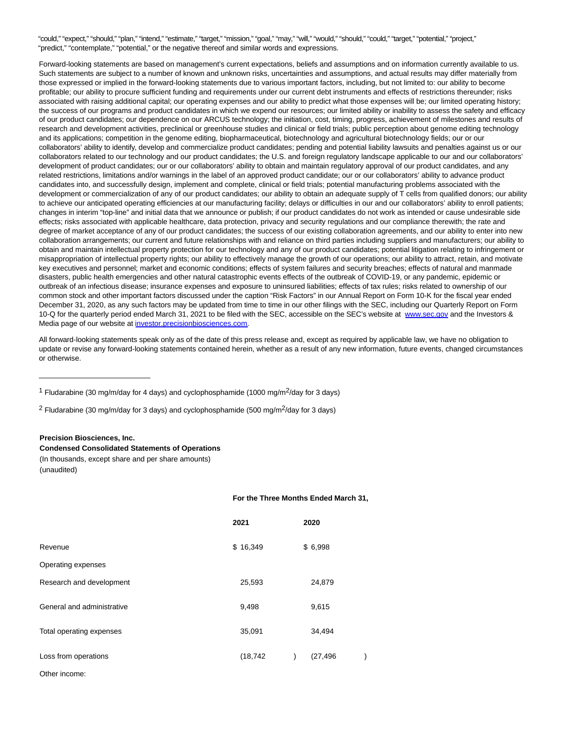"could," "expect," "should," "plan," "intend," "estimate," "target," "mission," "goal," "may," "will," "would," "should," "could," "target," "potential," "project," "predict," "contemplate," "potential," or the negative thereof and similar words and expressions.

Forward-looking statements are based on management's current expectations, beliefs and assumptions and on information currently available to us. Such statements are subject to a number of known and unknown risks, uncertainties and assumptions, and actual results may differ materially from those expressed or implied in the forward-looking statements due to various important factors, including, but not limited to: our ability to become profitable; our ability to procure sufficient funding and requirements under our current debt instruments and effects of restrictions thereunder; risks associated with raising additional capital; our operating expenses and our ability to predict what those expenses will be; our limited operating history; the success of our programs and product candidates in which we expend our resources; our limited ability or inability to assess the safety and efficacy of our product candidates; our dependence on our ARCUS technology; the initiation, cost, timing, progress, achievement of milestones and results of research and development activities, preclinical or greenhouse studies and clinical or field trials; public perception about genome editing technology and its applications; competition in the genome editing, biopharmaceutical, biotechnology and agricultural biotechnology fields; our or our collaborators' ability to identify, develop and commercialize product candidates; pending and potential liability lawsuits and penalties against us or our collaborators related to our technology and our product candidates; the U.S. and foreign regulatory landscape applicable to our and our collaborators' development of product candidates; our or our collaborators' ability to obtain and maintain regulatory approval of our product candidates, and any related restrictions, limitations and/or warnings in the label of an approved product candidate; our or our collaborators' ability to advance product candidates into, and successfully design, implement and complete, clinical or field trials; potential manufacturing problems associated with the development or commercialization of any of our product candidates; our ability to obtain an adequate supply of T cells from qualified donors; our ability to achieve our anticipated operating efficiencies at our manufacturing facility; delays or difficulties in our and our collaborators' ability to enroll patients; changes in interim "top-line" and initial data that we announce or publish; if our product candidates do not work as intended or cause undesirable side effects; risks associated with applicable healthcare, data protection, privacy and security regulations and our compliance therewith; the rate and degree of market acceptance of any of our product candidates; the success of our existing collaboration agreements, and our ability to enter into new collaboration arrangements; our current and future relationships with and reliance on third parties including suppliers and manufacturers; our ability to obtain and maintain intellectual property protection for our technology and any of our product candidates; potential litigation relating to infringement or misappropriation of intellectual property rights; our ability to effectively manage the growth of our operations; our ability to attract, retain, and motivate key executives and personnel; market and economic conditions; effects of system failures and security breaches; effects of natural and manmade disasters, public health emergencies and other natural catastrophic events effects of the outbreak of COVID-19, or any pandemic, epidemic or outbreak of an infectious disease; insurance expenses and exposure to uninsured liabilities; effects of tax rules; risks related to ownership of our common stock and other important factors discussed under the caption "Risk Factors" in our Annual Report on Form 10-K for the fiscal year ended December 31, 2020, as any such factors may be updated from time to time in our other filings with the SEC, including our Quarterly Report on Form 10-Q for the quarterly period ended March 31, 2021 to be filed with the SEC, accessible on the SEC's website at [www.sec.gov a](https://cts.businesswire.com/ct/CT?id=smartlink&url=http%3A%2F%2Fwww.sec.gov&esheet=52428449&newsitemid=20210513005267&lan=en-US&anchor=www.sec.gov&index=2&md5=5313d757a390322c12480320ec786cbf)nd the Investors & Media page of our website at [investor.precisionbiosciences.com.](http://investor.precisionbiosciences.com/)

All forward-looking statements speak only as of the date of this press release and, except as required by applicable law, we have no obligation to update or revise any forward-looking statements contained herein, whether as a result of any new information, future events, changed circumstances or otherwise.

<sup>1</sup> Fludarabine (30 mg/m/day for 4 days) and cyclophosphamide (1000 mg/m<sup>2</sup>/day for 3 days)

<sup>2</sup> Fludarabine (30 mg/m/day for 3 days) and cyclophosphamide (500 mg/m<sup>2</sup>/day for 3 days)

# **Precision Biosciences, Inc.**

\_\_\_\_\_\_\_\_\_\_\_\_\_\_\_\_\_\_\_\_\_\_\_\_\_\_\_

# **Condensed Consolidated Statements of Operations**

(In thousands, except share and per share amounts) (unaudited)

#### **For the Three Months Ended March 31,**

|                            | 2021      | 2020      |  |
|----------------------------|-----------|-----------|--|
| Revenue                    | \$16,349  | \$6,998   |  |
| Operating expenses         |           |           |  |
| Research and development   | 25,593    | 24,879    |  |
| General and administrative | 9,498     | 9,615     |  |
| Total operating expenses   | 35,091    | 34,494    |  |
| Loss from operations       | (18, 742) | (27, 496) |  |
| Other income:              |           |           |  |